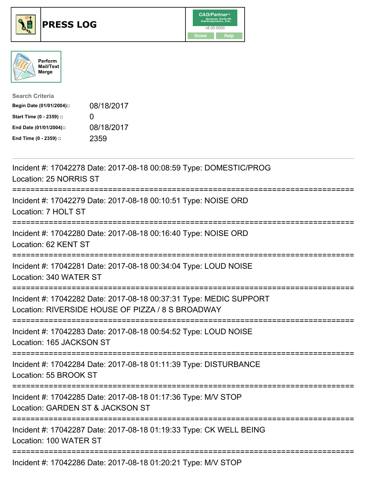





| <b>Search Criteria</b>    |                   |
|---------------------------|-------------------|
| Begin Date (01/01/2004):: | 08/18/2017        |
| Start Time (0 - 2359) ::  | $\mathbf{\Omega}$ |
| End Date (01/01/2004)::   | 08/18/2017        |
| End Time (0 - 2359) ::    | 2359              |

| Incident #: 17042278 Date: 2017-08-18 00:08:59 Type: DOMESTIC/PROG<br>Location: 25 NORRIS ST                                                                  |
|---------------------------------------------------------------------------------------------------------------------------------------------------------------|
| Incident #: 17042279 Date: 2017-08-18 00:10:51 Type: NOISE ORD<br>Location: 7 HOLT ST                                                                         |
| Incident #: 17042280 Date: 2017-08-18 00:16:40 Type: NOISE ORD<br>Location: 62 KENT ST                                                                        |
| Incident #: 17042281 Date: 2017-08-18 00:34:04 Type: LOUD NOISE<br>Location: 340 WATER ST<br>===================                                              |
| Incident #: 17042282 Date: 2017-08-18 00:37:31 Type: MEDIC SUPPORT<br>Location: RIVERSIDE HOUSE OF PIZZA / 8 S BROADWAY<br>---------------------------------- |
| Incident #: 17042283 Date: 2017-08-18 00:54:52 Type: LOUD NOISE<br>Location: 165 JACKSON ST                                                                   |
| Incident #: 17042284 Date: 2017-08-18 01:11:39 Type: DISTURBANCE<br>Location: 55 BROOK ST                                                                     |
| Incident #: 17042285 Date: 2017-08-18 01:17:36 Type: M/V STOP<br>Location: GARDEN ST & JACKSON ST                                                             |
| Incident #: 17042287 Date: 2017-08-18 01:19:33 Type: CK WELL BEING<br>Location: 100 WATER ST                                                                  |
| Incident #: 17042286 Date: 2017-08-18 01:20:21 Type: M/V STOP                                                                                                 |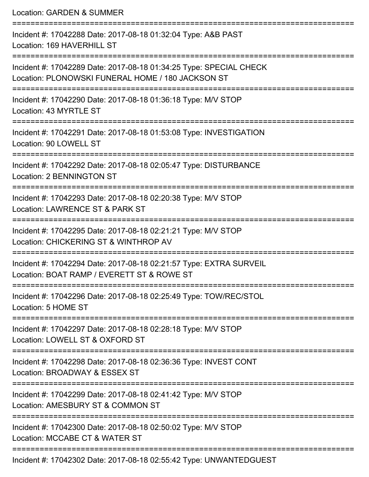Location: GARDEN & SUMMER =========================================================================== Incident #: 17042288 Date: 2017-08-18 01:32:04 Type: A&B PAST Location: 169 HAVERHILL ST =========================================================================== Incident #: 17042289 Date: 2017-08-18 01:34:25 Type: SPECIAL CHECK Location: PLONOWSKI FUNERAL HOME / 180 JACKSON ST =========================================================================== Incident #: 17042290 Date: 2017-08-18 01:36:18 Type: M/V STOP Location: 43 MYRTLE ST =========================================================================== Incident #: 17042291 Date: 2017-08-18 01:53:08 Type: INVESTIGATION Location: 90 LOWELL ST =========================================================================== Incident #: 17042292 Date: 2017-08-18 02:05:47 Type: DISTURBANCE Location: 2 BENNINGTON ST =========================================================================== Incident #: 17042293 Date: 2017-08-18 02:20:38 Type: M/V STOP Location: LAWRENCE ST & PARK ST =========================================================================== Incident #: 17042295 Date: 2017-08-18 02:21:21 Type: M/V STOP Location: CHICKERING ST & WINTHROP AV =========================================================================== Incident #: 17042294 Date: 2017-08-18 02:21:57 Type: EXTRA SURVEIL Location: BOAT RAMP / EVERETT ST & ROWE ST =========================================================================== Incident #: 17042296 Date: 2017-08-18 02:25:49 Type: TOW/REC/STOL Location: 5 HOME ST =========================================================================== Incident #: 17042297 Date: 2017-08-18 02:28:18 Type: M/V STOP Location: LOWELL ST & OXFORD ST =========================================================================== Incident #: 17042298 Date: 2017-08-18 02:36:36 Type: INVEST CONT Location: BROADWAY & ESSEX ST =========================================================================== Incident #: 17042299 Date: 2017-08-18 02:41:42 Type: M/V STOP Location: AMESBURY ST & COMMON ST =========================================================================== Incident #: 17042300 Date: 2017-08-18 02:50:02 Type: M/V STOP Location: MCCABE CT & WATER ST ===========================================================================

Incident #: 17042302 Date: 2017-08-18 02:55:42 Type: UNWANTEDGUEST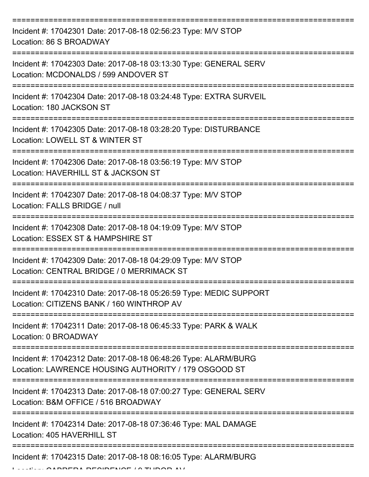| Incident #: 17042301 Date: 2017-08-18 02:56:23 Type: M/V STOP<br>Location: 86 S BROADWAY                                |
|-------------------------------------------------------------------------------------------------------------------------|
| Incident #: 17042303 Date: 2017-08-18 03:13:30 Type: GENERAL SERV<br>Location: MCDONALDS / 599 ANDOVER ST               |
| Incident #: 17042304 Date: 2017-08-18 03:24:48 Type: EXTRA SURVEIL<br>Location: 180 JACKSON ST                          |
| Incident #: 17042305 Date: 2017-08-18 03:28:20 Type: DISTURBANCE<br>Location: LOWELL ST & WINTER ST                     |
| Incident #: 17042306 Date: 2017-08-18 03:56:19 Type: M/V STOP<br>Location: HAVERHILL ST & JACKSON ST                    |
| Incident #: 17042307 Date: 2017-08-18 04:08:37 Type: M/V STOP<br>Location: FALLS BRIDGE / null                          |
| Incident #: 17042308 Date: 2017-08-18 04:19:09 Type: M/V STOP<br>Location: ESSEX ST & HAMPSHIRE ST                      |
| Incident #: 17042309 Date: 2017-08-18 04:29:09 Type: M/V STOP<br>Location: CENTRAL BRIDGE / 0 MERRIMACK ST              |
| Incident #: 17042310 Date: 2017-08-18 05:26:59 Type: MEDIC SUPPORT<br>Location: CITIZENS BANK / 160 WINTHROP AV         |
| Incident #: 17042311 Date: 2017-08-18 06:45:33 Type: PARK & WALK<br>Location: 0 BROADWAY                                |
| Incident #: 17042312 Date: 2017-08-18 06:48:26 Type: ALARM/BURG<br>Location: LAWRENCE HOUSING AUTHORITY / 179 OSGOOD ST |
| Incident #: 17042313 Date: 2017-08-18 07:00:27 Type: GENERAL SERV<br>Location: B&M OFFICE / 516 BROADWAY                |
| Incident #: 17042314 Date: 2017-08-18 07:36:46 Type: MAL DAMAGE<br>Location: 405 HAVERHILL ST                           |
| Incident #: 17042315 Date: 2017-08-18 08:16:05 Type: ALARM/BURG                                                         |

LOCATION DE OUREVAE / A TUDOR AV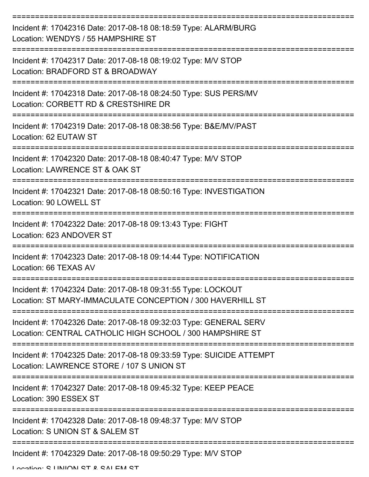| Incident #: 17042316 Date: 2017-08-18 08:18:59 Type: ALARM/BURG<br>Location: WENDYS / 55 HAMPSHIRE ST                          |
|--------------------------------------------------------------------------------------------------------------------------------|
| Incident #: 17042317 Date: 2017-08-18 08:19:02 Type: M/V STOP<br>Location: BRADFORD ST & BROADWAY                              |
| Incident #: 17042318 Date: 2017-08-18 08:24:50 Type: SUS PERS/MV<br>Location: CORBETT RD & CRESTSHIRE DR                       |
| Incident #: 17042319 Date: 2017-08-18 08:38:56 Type: B&E/MV/PAST<br>Location: 62 EUTAW ST                                      |
| Incident #: 17042320 Date: 2017-08-18 08:40:47 Type: M/V STOP<br>Location: LAWRENCE ST & OAK ST                                |
| Incident #: 17042321 Date: 2017-08-18 08:50:16 Type: INVESTIGATION<br>Location: 90 LOWELL ST                                   |
| Incident #: 17042322 Date: 2017-08-18 09:13:43 Type: FIGHT<br>Location: 623 ANDOVER ST                                         |
| Incident #: 17042323 Date: 2017-08-18 09:14:44 Type: NOTIFICATION<br>Location: 66 TEXAS AV                                     |
| Incident #: 17042324 Date: 2017-08-18 09:31:55 Type: LOCKOUT<br>Location: ST MARY-IMMACULATE CONCEPTION / 300 HAVERHILL ST     |
| Incident #: 17042326 Date: 2017-08-18 09:32:03 Type: GENERAL SERV<br>Location: CENTRAL CATHOLIC HIGH SCHOOL / 300 HAMPSHIRE ST |
| Incident #: 17042325 Date: 2017-08-18 09:33:59 Type: SUICIDE ATTEMPT<br>Location: LAWRENCE STORE / 107 S UNION ST              |
| Incident #: 17042327 Date: 2017-08-18 09:45:32 Type: KEEP PEACE<br>Location: 390 ESSEX ST                                      |
| Incident #: 17042328 Date: 2017-08-18 09:48:37 Type: M/V STOP<br>Location: S UNION ST & SALEM ST                               |
| Incident #: 17042329 Date: 2017-08-18 09:50:29 Type: M/V STOP                                                                  |

Location: C LINIION CT & CALEM CT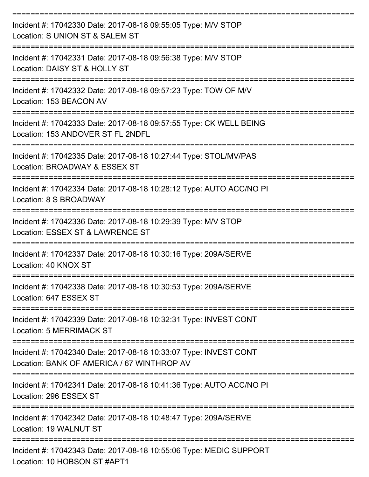| Incident #: 17042330 Date: 2017-08-18 09:55:05 Type: M/V STOP<br>Location: S UNION ST & SALEM ST                        |
|-------------------------------------------------------------------------------------------------------------------------|
| Incident #: 17042331 Date: 2017-08-18 09:56:38 Type: M/V STOP<br>Location: DAISY ST & HOLLY ST                          |
| Incident #: 17042332 Date: 2017-08-18 09:57:23 Type: TOW OF M/V<br>Location: 153 BEACON AV                              |
| Incident #: 17042333 Date: 2017-08-18 09:57:55 Type: CK WELL BEING<br>Location: 153 ANDOVER ST FL 2NDFL                 |
| Incident #: 17042335 Date: 2017-08-18 10:27:44 Type: STOL/MV/PAS<br>Location: BROADWAY & ESSEX ST                       |
| Incident #: 17042334 Date: 2017-08-18 10:28:12 Type: AUTO ACC/NO PI<br>Location: 8 S BROADWAY                           |
| Incident #: 17042336 Date: 2017-08-18 10:29:39 Type: M/V STOP<br>Location: ESSEX ST & LAWRENCE ST                       |
| Incident #: 17042337 Date: 2017-08-18 10:30:16 Type: 209A/SERVE<br>Location: 40 KNOX ST                                 |
| Incident #: 17042338 Date: 2017-08-18 10:30:53 Type: 209A/SERVE<br>Location: 647 ESSEX ST                               |
| ----------------<br>Incident #: 17042339 Date: 2017-08-18 10:32:31 Type: INVEST CONT<br><b>Location: 5 MERRIMACK ST</b> |
| Incident #: 17042340 Date: 2017-08-18 10:33:07 Type: INVEST CONT<br>Location: BANK OF AMERICA / 67 WINTHROP AV          |
| Incident #: 17042341 Date: 2017-08-18 10:41:36 Type: AUTO ACC/NO PI<br>Location: 296 ESSEX ST                           |
| Incident #: 17042342 Date: 2017-08-18 10:48:47 Type: 209A/SERVE<br>Location: 19 WALNUT ST                               |
| Incident #: 17042343 Date: 2017-08-18 10:55:06 Type: MEDIC SUPPORT<br>Location: 10 HOBSON ST #APT1                      |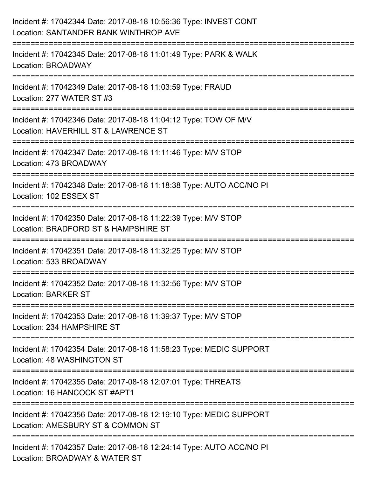| Incident #: 17042344 Date: 2017-08-18 10:56:36 Type: INVEST CONT<br>Location: SANTANDER BANK WINTHROP AVE                      |
|--------------------------------------------------------------------------------------------------------------------------------|
| ========================<br>Incident #: 17042345 Date: 2017-08-18 11:01:49 Type: PARK & WALK<br>Location: BROADWAY             |
| Incident #: 17042349 Date: 2017-08-18 11:03:59 Type: FRAUD<br>Location: 277 WATER ST #3<br>=================================== |
| Incident #: 17042346 Date: 2017-08-18 11:04:12 Type: TOW OF M/V<br>Location: HAVERHILL ST & LAWRENCE ST                        |
| Incident #: 17042347 Date: 2017-08-18 11:11:46 Type: M/V STOP<br>Location: 473 BROADWAY<br>============================        |
| Incident #: 17042348 Date: 2017-08-18 11:18:38 Type: AUTO ACC/NO PI<br>Location: 102 ESSEX ST                                  |
| Incident #: 17042350 Date: 2017-08-18 11:22:39 Type: M/V STOP<br>Location: BRADFORD ST & HAMPSHIRE ST                          |
| Incident #: 17042351 Date: 2017-08-18 11:32:25 Type: M/V STOP<br>Location: 533 BROADWAY                                        |
| Incident #: 17042352 Date: 2017-08-18 11:32:56 Type: M/V STOP<br>Location: BARKER ST                                           |
| Incident #: 17042353 Date: 2017-08-18 11:39:37 Type: M/V STOP<br>Location: 234 HAMPSHIRE ST                                    |
| Incident #: 17042354 Date: 2017-08-18 11:58:23 Type: MEDIC SUPPORT<br>Location: 48 WASHINGTON ST                               |
| Incident #: 17042355 Date: 2017-08-18 12:07:01 Type: THREATS<br>Location: 16 HANCOCK ST #APT1                                  |
| Incident #: 17042356 Date: 2017-08-18 12:19:10 Type: MEDIC SUPPORT<br>Location: AMESBURY ST & COMMON ST                        |
| Incident #: 17042357 Date: 2017-08-18 12:24:14 Type: AUTO ACC/NO PI<br>Location: BROADWAY & WATER ST                           |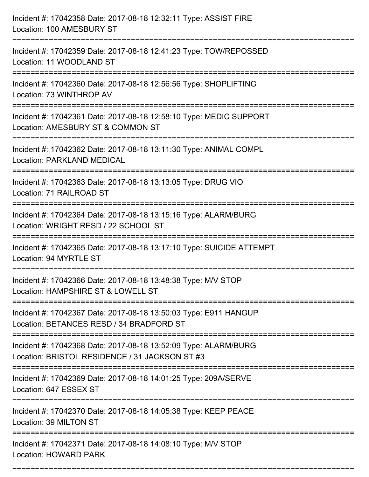| Incident #: 17042358 Date: 2017-08-18 12:32:11 Type: ASSIST FIRE<br>Location: 100 AMESBURY ST                                      |
|------------------------------------------------------------------------------------------------------------------------------------|
| Incident #: 17042359 Date: 2017-08-18 12:41:23 Type: TOW/REPOSSED<br>Location: 11 WOODLAND ST                                      |
| Incident #: 17042360 Date: 2017-08-18 12:56:56 Type: SHOPLIFTING<br>Location: 73 WINTHROP AV<br>================================== |
| Incident #: 17042361 Date: 2017-08-18 12:58:10 Type: MEDIC SUPPORT<br>Location: AMESBURY ST & COMMON ST                            |
| Incident #: 17042362 Date: 2017-08-18 13:11:30 Type: ANIMAL COMPL<br><b>Location: PARKLAND MEDICAL</b>                             |
| Incident #: 17042363 Date: 2017-08-18 13:13:05 Type: DRUG VIO<br>Location: 71 RAILROAD ST                                          |
| Incident #: 17042364 Date: 2017-08-18 13:15:16 Type: ALARM/BURG<br>Location: WRIGHT RESD / 22 SCHOOL ST                            |
| Incident #: 17042365 Date: 2017-08-18 13:17:10 Type: SUICIDE ATTEMPT<br>Location: 94 MYRTLE ST                                     |
| Incident #: 17042366 Date: 2017-08-18 13:48:38 Type: M/V STOP<br>Location: HAMPSHIRE ST & LOWELL ST                                |
| Incident #: 17042367 Date: 2017-08-18 13:50:03 Type: E911 HANGUP<br>Location: BETANCES RESD / 34 BRADFORD ST                       |
| Incident #: 17042368 Date: 2017-08-18 13:52:09 Type: ALARM/BURG<br>Location: BRISTOL RESIDENCE / 31 JACKSON ST #3                  |
| Incident #: 17042369 Date: 2017-08-18 14:01:25 Type: 209A/SERVE<br>Location: 647 ESSEX ST                                          |
| Incident #: 17042370 Date: 2017-08-18 14:05:38 Type: KEEP PEACE<br>Location: 39 MILTON ST                                          |
| Incident #: 17042371 Date: 2017-08-18 14:08:10 Type: M/V STOP<br><b>Location: HOWARD PARK</b>                                      |

===========================================================================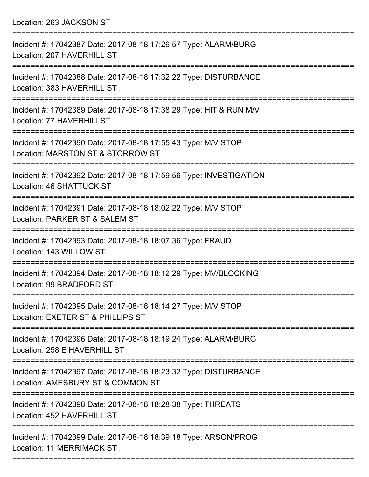Location: 263 JACKSON ST

| Incident #: 17042387 Date: 2017-08-18 17:26:57 Type: ALARM/BURG<br>Location: 207 HAVERHILL ST         |
|-------------------------------------------------------------------------------------------------------|
| Incident #: 17042388 Date: 2017-08-18 17:32:22 Type: DISTURBANCE<br>Location: 383 HAVERHILL ST        |
| Incident #: 17042389 Date: 2017-08-18 17:38:29 Type: HIT & RUN M/V<br>Location: 77 HAVERHILLST        |
| Incident #: 17042390 Date: 2017-08-18 17:55:43 Type: M/V STOP<br>Location: MARSTON ST & STORROW ST    |
| Incident #: 17042392 Date: 2017-08-18 17:59:56 Type: INVESTIGATION<br>Location: 46 SHATTUCK ST        |
| Incident #: 17042391 Date: 2017-08-18 18:02:22 Type: M/V STOP<br>Location: PARKER ST & SALEM ST       |
| Incident #: 17042393 Date: 2017-08-18 18:07:36 Type: FRAUD<br>Location: 143 WILLOW ST                 |
| Incident #: 17042394 Date: 2017-08-18 18:12:29 Type: MV/BLOCKING<br>Location: 99 BRADFORD ST          |
| Incident #: 17042395 Date: 2017-08-18 18:14:27 Type: M/V STOP<br>Location: EXETER ST & PHILLIPS ST    |
| Incident #: 17042396 Date: 2017-08-18 18:19:24 Type: ALARM/BURG<br>Location: 258 E HAVERHILL ST       |
| Incident #: 17042397 Date: 2017-08-18 18:23:32 Type: DISTURBANCE<br>Location: AMESBURY ST & COMMON ST |
| Incident #: 17042398 Date: 2017-08-18 18:28:38 Type: THREATS<br>Location: 452 HAVERHILL ST            |
| Incident #: 17042399 Date: 2017-08-18 18:39:18 Type: ARSON/PROG<br><b>Location: 11 MERRIMACK ST</b>   |
|                                                                                                       |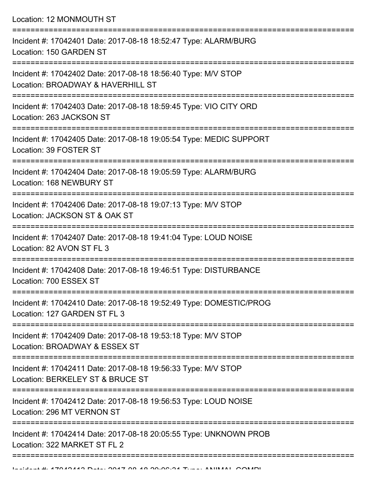Location: 12 MONMOUTH ST

| Incident #: 17042401 Date: 2017-08-18 18:52:47 Type: ALARM/BURG<br>Location: 150 GARDEN ST         |
|----------------------------------------------------------------------------------------------------|
| Incident #: 17042402 Date: 2017-08-18 18:56:40 Type: M/V STOP<br>Location: BROADWAY & HAVERHILL ST |
| Incident #: 17042403 Date: 2017-08-18 18:59:45 Type: VIO CITY ORD<br>Location: 263 JACKSON ST      |
| Incident #: 17042405 Date: 2017-08-18 19:05:54 Type: MEDIC SUPPORT<br>Location: 39 FOSTER ST       |
| Incident #: 17042404 Date: 2017-08-18 19:05:59 Type: ALARM/BURG<br>Location: 168 NEWBURY ST        |
| Incident #: 17042406 Date: 2017-08-18 19:07:13 Type: M/V STOP<br>Location: JACKSON ST & OAK ST     |
| Incident #: 17042407 Date: 2017-08-18 19:41:04 Type: LOUD NOISE<br>Location: 82 AVON ST FL 3       |
| Incident #: 17042408 Date: 2017-08-18 19:46:51 Type: DISTURBANCE<br>Location: 700 ESSEX ST         |
| Incident #: 17042410 Date: 2017-08-18 19:52:49 Type: DOMESTIC/PROG<br>Location: 127 GARDEN ST FL 3 |
| Incident #: 17042409 Date: 2017-08-18 19:53:18 Type: M/V STOP<br>Location: BROADWAY & ESSEX ST     |
| Incident #: 17042411 Date: 2017-08-18 19:56:33 Type: M/V STOP<br>Location: BERKELEY ST & BRUCE ST  |
| Incident #: 17042412 Date: 2017-08-18 19:56:53 Type: LOUD NOISE<br>Location: 296 MT VERNON ST      |
| Incident #: 17042414 Date: 2017-08-18 20:05:55 Type: UNKNOWN PROB<br>Location: 322 MARKET ST FL 2  |
|                                                                                                    |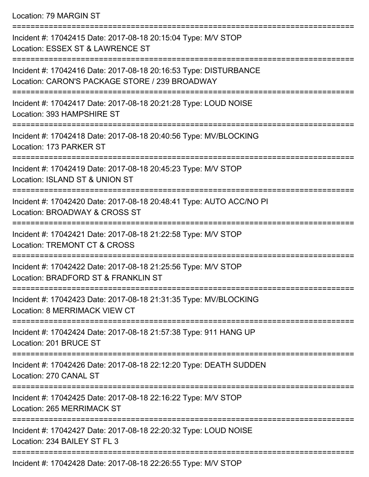Location: 79 MARGIN ST

| Incident #: 17042415 Date: 2017-08-18 20:15:04 Type: M/V STOP<br>Location: ESSEX ST & LAWRENCE ST<br>================== |
|-------------------------------------------------------------------------------------------------------------------------|
| Incident #: 17042416 Date: 2017-08-18 20:16:53 Type: DISTURBANCE<br>Location: CARON'S PACKAGE STORE / 239 BROADWAY      |
| Incident #: 17042417 Date: 2017-08-18 20:21:28 Type: LOUD NOISE<br>Location: 393 HAMPSHIRE ST                           |
| Incident #: 17042418 Date: 2017-08-18 20:40:56 Type: MV/BLOCKING<br>Location: 173 PARKER ST                             |
| --------------<br>Incident #: 17042419 Date: 2017-08-18 20:45:23 Type: M/V STOP<br>Location: ISLAND ST & UNION ST       |
| Incident #: 17042420 Date: 2017-08-18 20:48:41 Type: AUTO ACC/NO PI<br>Location: BROADWAY & CROSS ST                    |
| Incident #: 17042421 Date: 2017-08-18 21:22:58 Type: M/V STOP<br><b>Location: TREMONT CT &amp; CROSS</b>                |
| Incident #: 17042422 Date: 2017-08-18 21:25:56 Type: M/V STOP<br>Location: BRADFORD ST & FRANKLIN ST                    |
| Incident #: 17042423 Date: 2017-08-18 21:31:35 Type: MV/BLOCKING<br>Location: 8 MERRIMACK VIEW CT                       |
| Incident #: 17042424 Date: 2017-08-18 21:57:38 Type: 911 HANG UP<br>Location: 201 BRUCE ST                              |
| Incident #: 17042426 Date: 2017-08-18 22:12:20 Type: DEATH SUDDEN<br>Location: 270 CANAL ST                             |
| Incident #: 17042425 Date: 2017-08-18 22:16:22 Type: M/V STOP<br>Location: 265 MERRIMACK ST                             |
| Incident #: 17042427 Date: 2017-08-18 22:20:32 Type: LOUD NOISE<br>Location: 234 BAILEY ST FL 3                         |
| Incident #: 17042428 Date: 2017-08-18 22:26:55 Type: MA/ STOP                                                           |

Incident #: 17042428 Date: 2017-08-18 22:26:55 Type: M/V STOP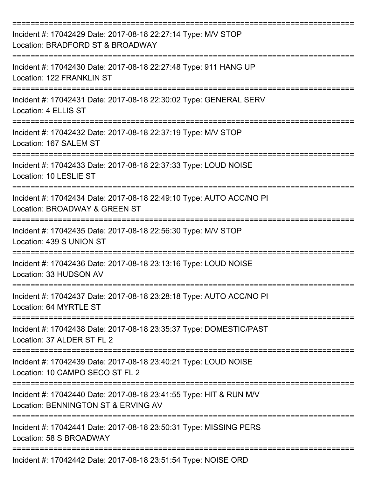| Incident #: 17042429 Date: 2017-08-18 22:27:14 Type: M/V STOP<br>Location: BRADFORD ST & BROADWAY         |
|-----------------------------------------------------------------------------------------------------------|
| Incident #: 17042430 Date: 2017-08-18 22:27:48 Type: 911 HANG UP<br>Location: 122 FRANKLIN ST             |
| Incident #: 17042431 Date: 2017-08-18 22:30:02 Type: GENERAL SERV<br>Location: 4 ELLIS ST                 |
| Incident #: 17042432 Date: 2017-08-18 22:37:19 Type: M/V STOP<br>Location: 167 SALEM ST                   |
| Incident #: 17042433 Date: 2017-08-18 22:37:33 Type: LOUD NOISE<br>Location: 10 LESLIE ST                 |
| Incident #: 17042434 Date: 2017-08-18 22:49:10 Type: AUTO ACC/NO PI<br>Location: BROADWAY & GREEN ST      |
| Incident #: 17042435 Date: 2017-08-18 22:56:30 Type: M/V STOP<br>Location: 439 S UNION ST                 |
| Incident #: 17042436 Date: 2017-08-18 23:13:16 Type: LOUD NOISE<br>Location: 33 HUDSON AV                 |
| Incident #: 17042437 Date: 2017-08-18 23:28:18 Type: AUTO ACC/NO PI<br>Location: 64 MYRTLE ST             |
| Incident #: 17042438 Date: 2017-08-18 23:35:37 Type: DOMESTIC/PAST<br>Location: 37 ALDER ST FL 2          |
| Incident #: 17042439 Date: 2017-08-18 23:40:21 Type: LOUD NOISE<br>Location: 10 CAMPO SECO ST FL 2        |
| Incident #: 17042440 Date: 2017-08-18 23:41:55 Type: HIT & RUN M/V<br>Location: BENNINGTON ST & ERVING AV |
| Incident #: 17042441 Date: 2017-08-18 23:50:31 Type: MISSING PERS<br>Location: 58 S BROADWAY              |
| Incident #: 17042442 Date: 2017-08-18 23:51:54 Type: NOISE ORD                                            |